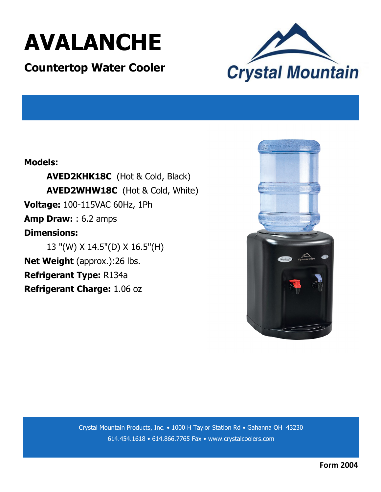

### **Countertop Water Cooler**



#### **Models:**

**AVED2KHK18C** (Hot & Cold, Black) **AVED2WHW18C** (Hot & Cold, White) **Voltage:** 100-115VAC 60Hz, 1Ph **Amp Draw:** : 6.2 amps **Dimensions:**  13 "(W) X 14.5"(D) X 16.5"(H) **Net Weight** (approx.):26 lbs. **Refrigerant Type:** R134a

**Refrigerant Charge:** 1.06 oz



Crystal Mountain Products, Inc. • 1000 H Taylor Station Rd • Gahanna OH 43230 614.454.1618 • 614.866.7765 Fax • www.crystalcoolers.com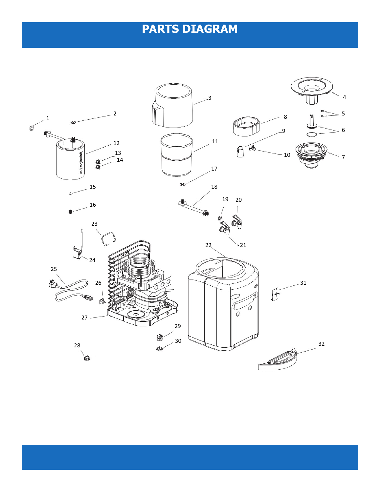# **PARTS DIAGRAM**

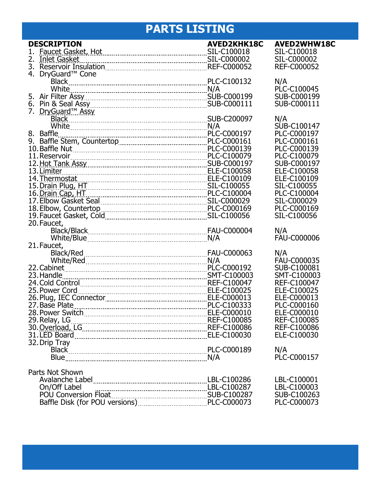# **PARTS LISTING**

| <b>DESCRIPTION</b>                                                                                                                                                                                                                   | <b>AVED2KHK18C</b> | <b>AVED2WHW18C</b>        |
|--------------------------------------------------------------------------------------------------------------------------------------------------------------------------------------------------------------------------------------|--------------------|---------------------------|
| Faucet Gasket, Hot [100018] SIL-C100018                                                                                                                                                                                              |                    | SIL-C100018               |
|                                                                                                                                                                                                                                      |                    | SIL-C000002               |
|                                                                                                                                                                                                                                      |                    | <b>REF-C000052</b>        |
| 4. DryGuard <sup>™</sup> Cone                                                                                                                                                                                                        |                    |                           |
|                                                                                                                                                                                                                                      |                    | N/A                       |
| White Married March 2014 M/A                                                                                                                                                                                                         |                    | PLC-C100045               |
|                                                                                                                                                                                                                                      |                    | SUB-C000199               |
|                                                                                                                                                                                                                                      |                    | SUB-C000111               |
| 7. DryGuard <sup>™</sup> Assy                                                                                                                                                                                                        |                    |                           |
|                                                                                                                                                                                                                                      |                    | N/A                       |
|                                                                                                                                                                                                                                      |                    | SUB-C100147               |
|                                                                                                                                                                                                                                      |                    | PLC-C000197               |
|                                                                                                                                                                                                                                      |                    | PLC-C000161               |
|                                                                                                                                                                                                                                      |                    | PLC-C000139               |
|                                                                                                                                                                                                                                      |                    | PLC-C100079               |
|                                                                                                                                                                                                                                      |                    | SUB-C000197               |
| 13. Limiter                                                                                                                                                                                                                          |                    | ELE-C100058               |
|                                                                                                                                                                                                                                      |                    | ELE-C100109               |
| ELE-C100109<br>15. Drain Plug, HT<br>16. Drain Cap, HT<br>17. Elbow Gasket Seal<br>17. Elbow Gasket Seal<br>18. PLC-C1000029                                                                                                         |                    | SIL-C100055               |
|                                                                                                                                                                                                                                      |                    | PLC-C100004               |
|                                                                                                                                                                                                                                      |                    | SIL-C000029               |
|                                                                                                                                                                                                                                      |                    | PLC-C000169               |
| 18. Elbow, Countertop PLC-C000169<br>19. Faucet Gasket, Cold Communication Collection Casket, Cold Casket Collection Casher Casher Collection Cast<br>20. Faucet Gasket, Cold Cassing Casher Collection Cast Cast Cast Cast Cast Cas |                    | SIL-C100056               |
|                                                                                                                                                                                                                                      |                    |                           |
| 20. Faucet,                                                                                                                                                                                                                          |                    |                           |
|                                                                                                                                                                                                                                      |                    | N/A<br><b>FAU-C000006</b> |
| 21. Faucet,                                                                                                                                                                                                                          |                    |                           |
|                                                                                                                                                                                                                                      |                    |                           |
|                                                                                                                                                                                                                                      |                    | N/A                       |
|                                                                                                                                                                                                                                      |                    | FAU-C000035               |
|                                                                                                                                                                                                                                      |                    | SUB-C100081               |
| 23. Handle                                                                                                                                                                                                                           |                    | SMT-C100003               |
|                                                                                                                                                                                                                                      |                    | REF-C100047               |
| 25. Power Cord<br>26. Plug, IEC Connector<br>26. Plug, IEC Connector                                                                                                                                                                 |                    | ELE-C100025               |
|                                                                                                                                                                                                                                      |                    | ELE-C000013               |
| 27. Base Plate                                                                                                                                                                                                                       |                    | PLC-C000160               |
|                                                                                                                                                                                                                                      |                    | ELE-C000010               |
|                                                                                                                                                                                                                                      |                    | REF-C100085               |
|                                                                                                                                                                                                                                      |                    | <b>REF-C100086</b>        |
|                                                                                                                                                                                                                                      |                    | ELE-C100030               |
| 32. Drip Tray                                                                                                                                                                                                                        |                    |                           |
|                                                                                                                                                                                                                                      |                    | N/A                       |
|                                                                                                                                                                                                                                      |                    | PLC-C000157               |
| Parts Not Shown                                                                                                                                                                                                                      |                    |                           |
|                                                                                                                                                                                                                                      |                    | LBL-C100001               |
|                                                                                                                                                                                                                                      |                    | LBL-C100003               |
|                                                                                                                                                                                                                                      |                    | SUB-C100263               |
| On/Off Label<br>POU Conversion Float<br>Baffle Disk (for POU versions)<br>PLC-C000073                                                                                                                                                |                    | PLC-C000073               |